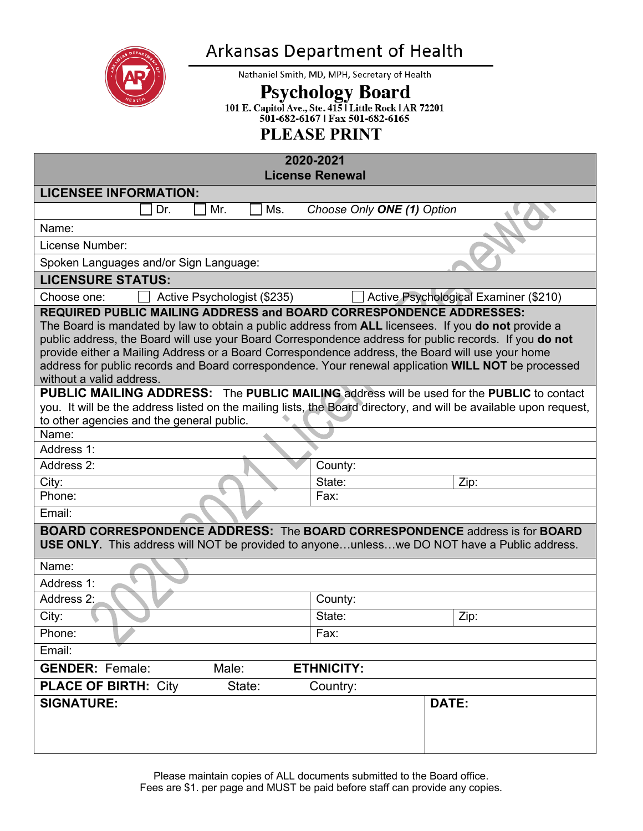

# Arkansas Department of Health

Nathaniel Smith, MD, MPH, Secretary of Health

Psychology Board<br>101 E. Capitol Ave., Ste. 415 | Little Rock | AR 72201<br>501-682-6167 | Fax 501-682-6165

## **PLEASE PRINT**

#### **2020-2021**

|                                                                                                                                                                                                                                                                                                                                                                                                                                                                                                                                                                                                                                                                                                                                                                                                                   | License Renewal                       |  |  |  |  |
|-------------------------------------------------------------------------------------------------------------------------------------------------------------------------------------------------------------------------------------------------------------------------------------------------------------------------------------------------------------------------------------------------------------------------------------------------------------------------------------------------------------------------------------------------------------------------------------------------------------------------------------------------------------------------------------------------------------------------------------------------------------------------------------------------------------------|---------------------------------------|--|--|--|--|
| <b>LICENSEE INFORMATION:</b>                                                                                                                                                                                                                                                                                                                                                                                                                                                                                                                                                                                                                                                                                                                                                                                      |                                       |  |  |  |  |
| Dr.<br>Mr.<br>Ms.                                                                                                                                                                                                                                                                                                                                                                                                                                                                                                                                                                                                                                                                                                                                                                                                 | Choose Only ONE (1) Option            |  |  |  |  |
| Name:                                                                                                                                                                                                                                                                                                                                                                                                                                                                                                                                                                                                                                                                                                                                                                                                             |                                       |  |  |  |  |
| License Number:                                                                                                                                                                                                                                                                                                                                                                                                                                                                                                                                                                                                                                                                                                                                                                                                   |                                       |  |  |  |  |
| Spoken Languages and/or Sign Language:                                                                                                                                                                                                                                                                                                                                                                                                                                                                                                                                                                                                                                                                                                                                                                            |                                       |  |  |  |  |
| <b>LICENSURE STATUS:</b>                                                                                                                                                                                                                                                                                                                                                                                                                                                                                                                                                                                                                                                                                                                                                                                          |                                       |  |  |  |  |
| Active Psychologist (\$235)<br>Choose one:                                                                                                                                                                                                                                                                                                                                                                                                                                                                                                                                                                                                                                                                                                                                                                        | Active Psychological Examiner (\$210) |  |  |  |  |
| <b>REQUIRED PUBLIC MAILING ADDRESS and BOARD CORRESPONDENCE ADDRESSES:</b><br>The Board is mandated by law to obtain a public address from ALL licensees. If you do not provide a<br>public address, the Board will use your Board Correspondence address for public records. If you do not<br>provide either a Mailing Address or a Board Correspondence address, the Board will use your home<br>address for public records and Board correspondence. Your renewal application WILL NOT be processed<br>without a valid address.<br><b>PUBLIC MAILING ADDRESS:</b> The PUBLIC MAILING address will be used for the PUBLIC to contact<br>you. It will be the address listed on the mailing lists, the Board directory, and will be available upon request,<br>to other agencies and the general public.<br>Name: |                                       |  |  |  |  |
| Address 1:                                                                                                                                                                                                                                                                                                                                                                                                                                                                                                                                                                                                                                                                                                                                                                                                        |                                       |  |  |  |  |
| Address 2:                                                                                                                                                                                                                                                                                                                                                                                                                                                                                                                                                                                                                                                                                                                                                                                                        | County:                               |  |  |  |  |
| City:<br>Phone:                                                                                                                                                                                                                                                                                                                                                                                                                                                                                                                                                                                                                                                                                                                                                                                                   | State:<br>Zip:<br>Fax:                |  |  |  |  |
| Email:                                                                                                                                                                                                                                                                                                                                                                                                                                                                                                                                                                                                                                                                                                                                                                                                            |                                       |  |  |  |  |
|                                                                                                                                                                                                                                                                                                                                                                                                                                                                                                                                                                                                                                                                                                                                                                                                                   |                                       |  |  |  |  |
| <b>BOARD CORRESPONDENCE ADDRESS: The BOARD CORRESPONDENCE address is for BOARD</b><br>USE ONLY. This address will NOT be provided to anyoneunlesswe DO NOT have a Public address.<br>Name:<br>Address 1:                                                                                                                                                                                                                                                                                                                                                                                                                                                                                                                                                                                                          |                                       |  |  |  |  |
| Address 2:                                                                                                                                                                                                                                                                                                                                                                                                                                                                                                                                                                                                                                                                                                                                                                                                        | County:                               |  |  |  |  |
| City:                                                                                                                                                                                                                                                                                                                                                                                                                                                                                                                                                                                                                                                                                                                                                                                                             | State:<br>Zip:                        |  |  |  |  |
| Phone:                                                                                                                                                                                                                                                                                                                                                                                                                                                                                                                                                                                                                                                                                                                                                                                                            | Fax:                                  |  |  |  |  |
| Email:                                                                                                                                                                                                                                                                                                                                                                                                                                                                                                                                                                                                                                                                                                                                                                                                            |                                       |  |  |  |  |
| <b>GENDER: Female:</b><br>Male:<br><b>ETHNICITY:</b>                                                                                                                                                                                                                                                                                                                                                                                                                                                                                                                                                                                                                                                                                                                                                              |                                       |  |  |  |  |
| <b>PLACE OF BIRTH: City</b><br>State:                                                                                                                                                                                                                                                                                                                                                                                                                                                                                                                                                                                                                                                                                                                                                                             | Country:                              |  |  |  |  |
| <b>SIGNATURE:</b>                                                                                                                                                                                                                                                                                                                                                                                                                                                                                                                                                                                                                                                                                                                                                                                                 | DATE:                                 |  |  |  |  |
|                                                                                                                                                                                                                                                                                                                                                                                                                                                                                                                                                                                                                                                                                                                                                                                                                   |                                       |  |  |  |  |

Please maintain copies of ALL documents submitted to the Board office. Fees are \$1. per page and MUST be paid before staff can provide any copies.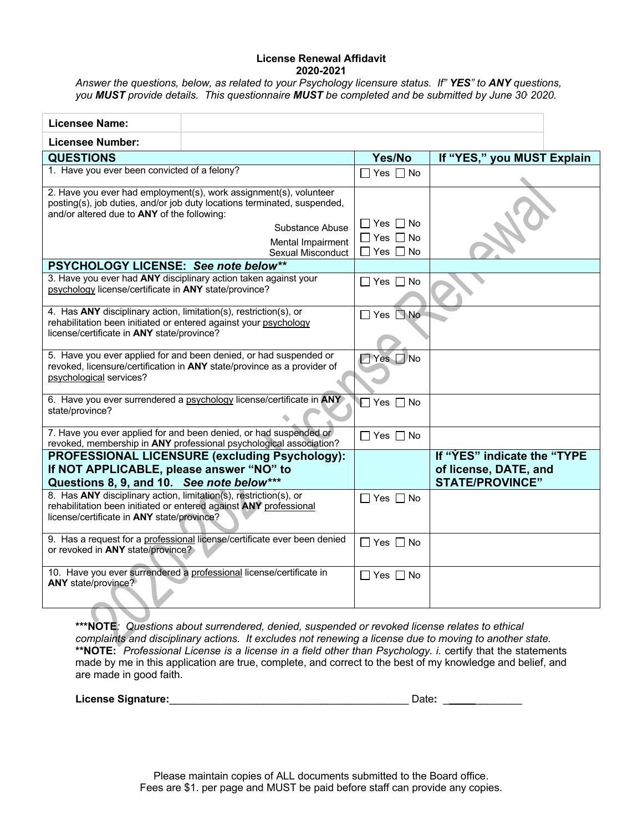#### **License Renewal Affidavit 2020-2021**

*Answer the questions, below, as related to your Psychology licensure status. If" YES" to ANY questions, you MUST provide details. This questionnaire MUST be completed and be submitted by June 30, 2020.*

| <b>Licensee Name:</b>                                                                                                                                                               |                                                                                                                                                                                                            |                                                                      |                                                                                |  |  |
|-------------------------------------------------------------------------------------------------------------------------------------------------------------------------------------|------------------------------------------------------------------------------------------------------------------------------------------------------------------------------------------------------------|----------------------------------------------------------------------|--------------------------------------------------------------------------------|--|--|
| <b>Licensee Number:</b>                                                                                                                                                             |                                                                                                                                                                                                            |                                                                      |                                                                                |  |  |
| <b>QUESTIONS</b>                                                                                                                                                                    |                                                                                                                                                                                                            | Yes/No                                                               | If "YES," you MUST Explain                                                     |  |  |
| 1. Have you ever been convicted of a felony?                                                                                                                                        |                                                                                                                                                                                                            | $\Box$ Yes $\Box$ No                                                 |                                                                                |  |  |
| and/or altered due to ANY of the following:                                                                                                                                         | 2. Have you ever had employment(s), work assignment(s), volunteer<br>posting(s), job duties, and/or job duty locations terminated, suspended,<br>Substance Abuse<br>Mental Impairment<br>Sexual Misconduct | $\Box$ Yes $\Box$ No<br>$\Box$ Yes $\Box$ No<br>$\Box$ Yes $\Box$ No |                                                                                |  |  |
| PSYCHOLOGY LICENSE: See note below**                                                                                                                                                |                                                                                                                                                                                                            |                                                                      |                                                                                |  |  |
| psychology license/certificate in ANY state/province?                                                                                                                               | 3. Have you ever had ANY disciplinary action taken against your                                                                                                                                            | $\Box$ Yes $\Box$ No                                                 |                                                                                |  |  |
| 4. Has ANY disciplinary action, limitation(s), restriction(s), or<br>rehabilitation been initiated or entered against your psychology<br>license/certificate in ANY state/province? |                                                                                                                                                                                                            | $\Box$ Yes $\Box$ No                                                 |                                                                                |  |  |
| psychological services?                                                                                                                                                             | 5. Have you ever applied for and been denied, or had suspended or<br>revoked, licensure/certification in ANY state/province as a provider of                                                               | □ Yes □ No                                                           |                                                                                |  |  |
| state/province?                                                                                                                                                                     | 6. Have you ever surrendered a psychology license/certificate in ANY                                                                                                                                       | l∏ Yes □ No                                                          |                                                                                |  |  |
|                                                                                                                                                                                     | 7. Have you ever applied for and been denied, or had suspended or<br>revoked, membership in ANY professional psychological association?                                                                    | $\Box$ Yes $\Box$ No                                                 |                                                                                |  |  |
| If NOT APPLICABLE, please answer "NO" to<br>Questions 8, 9, and 10. See note below***                                                                                               | PROFESSIONAL LICENSURE (excluding Psychology):                                                                                                                                                             |                                                                      | If "YES" indicate the "TYPE<br>of license, DATE, and<br><b>STATE/PROVINCE"</b> |  |  |
| 8. Has ANY disciplinary action, limitation(s), restriction(s), or<br>license/certificate in ANY state/province?                                                                     | rehabilitation been initiated or entered against ANY professional                                                                                                                                          | $\Box$ Yes $\Box$ No                                                 |                                                                                |  |  |
| or revoked in ANY state/province?                                                                                                                                                   | 9. Has a request for a professional license/certificate ever been denied                                                                                                                                   | $\Box$ Yes $\Box$ No                                                 |                                                                                |  |  |
| ANY state/province?                                                                                                                                                                 | 10. Have you ever surrendered a professional license/certificate in                                                                                                                                        | ∣Yes IINo                                                            |                                                                                |  |  |

**\*\*\*NOTE***: Questions about surrendered, denied, suspended or revoked license relates to ethical complaints and disciplinary actions. It excludes not renewing a license due to moving to another state.* **\*\*NOTE:** *Professional License is a license in a field other than Psychology. i.* certify that the statements made by me in this application are true, complete, and correct to the best of my knowledge and belief, and are made in good faith.

|  |  | <b>License Signature:</b> |
|--|--|---------------------------|
|--|--|---------------------------|

**License Signature:**\_\_\_\_\_\_\_\_\_\_\_\_\_\_\_\_\_\_\_\_\_\_\_\_\_\_\_\_\_\_\_\_\_\_\_\_\_\_\_\_\_ Date**:** \_ \_\_\_\_\_\_\_\_

Please maintain copies of ALL documents submitted to the Board office. Fees are \$1. per page and MUST be paid before staff can provide any copies.